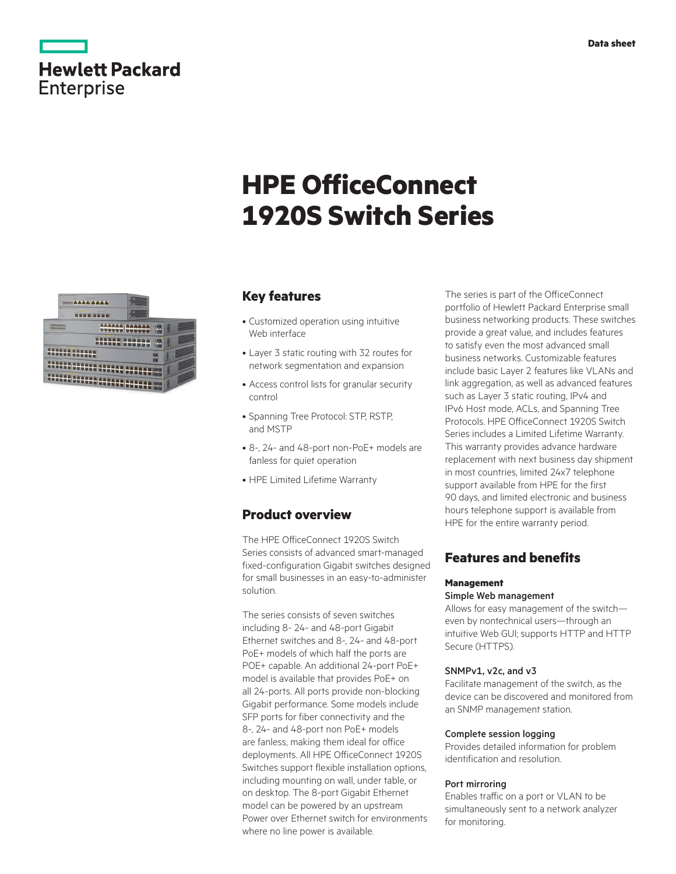| <b>Hewlett Packard</b> |  |  |
|------------------------|--|--|
| <b>Enterprise</b>      |  |  |

# **HPE OfficeConnect 1920S Switch Series**



### **Key features**

- Customized operation using intuitive Web interface
- Layer 3 static routing with 32 routes for network segmentation and expansion
- Access control lists for granular security control
- Spanning Tree Protocol: STP, RSTP, and MSTP
- 8-, 24- and 48-port non-PoE+ models are fanless for quiet operation
- HPE Limited Lifetime Warranty

### **Product overview**

The HPE OfficeConnect 1920S Switch Series consists of advanced smart-managed fixed-configuration Gigabit switches designed for small businesses in an easy-to-administer solution.

The series consists of seven switches including 8- 24- and 48-port Gigabit Ethernet switches and 8-, 24- and 48-port PoE+ models of which half the ports are POE+ capable. An additional 24-port PoE+ model is available that provides PoE+ on all 24-ports. All ports provide non-blocking Gigabit performance. Some models include SFP ports for fiber connectivity and the 8-, 24- and 48-port non PoE+ models are fanless, making them ideal for office deployments. All HPE OfficeConnect 1920S Switches support flexible installation options, including mounting on wall, under table, or on desktop. The 8-port Gigabit Ethernet model can be powered by an upstream Power over Ethernet switch for environments where no line power is available.

The series is part of the OfficeConnect portfolio of Hewlett Packard Enterprise small business networking products. These switches provide a great value, and includes features to satisfy even the most advanced small business networks. Customizable features include basic Layer 2 features like VLANs and link aggregation, as well as advanced features such as Layer 3 static routing, IPv4 and IPv6 Host mode, ACLs, and Spanning Tree Protocols. HPE OfficeConnect 1920S Switch Series includes a Limited Lifetime Warranty. This warranty provides advance hardware replacement with next business day shipment in most countries, limited 24x7 telephone support available from HPE for the first 90 days, and limited electronic and business hours telephone support is available from HPE for the entire warranty period.

### **Features and benefits**

#### **Management**

#### Simple Web management

Allows for easy management of the switch even by nontechnical users—through an intuitive Web GUI; supports HTTP and HTTP Secure (HTTPS).

#### SNMPv1, v2c, and v3

Facilitate management of the switch, as the device can be discovered and monitored from an SNMP management station.

#### Complete session logging

Provides detailed information for problem identification and resolution.

#### Port mirroring

Enables traffic on a port or VLAN to be simultaneously sent to a network analyzer for monitoring.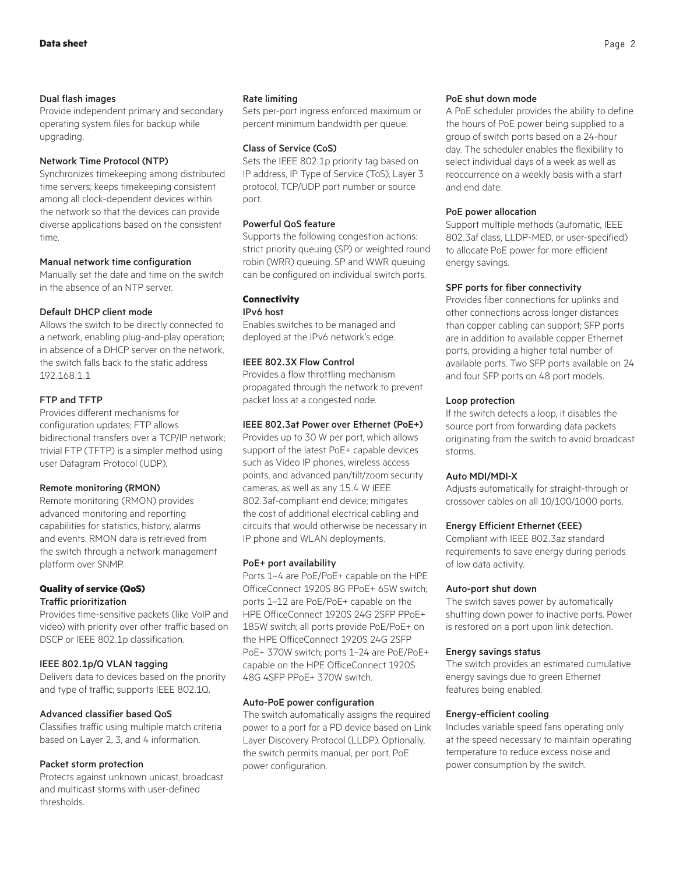#### Dual flash images

Provide independent primary and secondary operating system files for backup while upgrading.

#### Network Time Protocol (NTP)

Synchronizes timekeeping among distributed time servers; keeps timekeeping consistent among all clock-dependent devices within the network so that the devices can provide diverse applications based on the consistent time.

#### Manual network time configuration

Manually set the date and time on the switch in the absence of an NTP server.

#### Default DHCP client mode

Allows the switch to be directly connected to a network, enabling plug-and-play operation; in absence of a DHCP server on the network, the switch falls back to the static address 192.168.1.1

#### FTP and TFTP

Provides different mechanisms for configuration updates; FTP allows bidirectional transfers over a TCP/IP network; trivial FTP (TFTP) is a simpler method using user Datagram Protocol (UDP).

#### Remote monitoring (RMON)

Remote monitoring (RMON) provides advanced monitoring and reporting capabilities for statistics, history, alarms and events. RMON data is retrieved from the switch through a network management platform over SNMP.

#### **Quality of service (QoS)** Traffic prioritization

Provides time-sensitive packets (like VoIP and video) with priority over other traffic based on DSCP or IEEE 802.1p classification.

#### IEEE 802.1p/Q VLAN tagging

Delivers data to devices based on the priority and type of traffic; supports IEEE 802.1Q.

#### Advanced classifier based QoS

Classifies traffic using multiple match criteria based on Layer 2, 3, and 4 information.

#### Packet storm protection

Protects against unknown unicast, broadcast and multicast storms with user-defined thresholds.

#### Rate limiting

Sets per-port ingress enforced maximum or percent minimum bandwidth per queue.

#### Class of Service (CoS)

Sets the IEEE 802.1p priority tag based on IP address, IP Type of Service (ToS), Layer 3 protocol, TCP/UDP port number or source port.

#### Powerful QoS feature

Supports the following congestion actions: strict priority queuing (SP) or weighted round robin (WRR) queuing. SP and WWR queuing can be configured on individual switch ports.

#### **Connectivity**

IPv6 host

Enables switches to be managed and deployed at the IPv6 network's edge.

#### IEEE 802.3X Flow Control

Provides a flow throttling mechanism propagated through the network to prevent packet loss at a congested node.

#### IEEE 802.3at Power over Ethernet (PoE+)

Provides up to 30 W per port, which allows support of the latest PoE+ capable devices such as Video IP phones, wireless access points, and advanced pan/tilt/zoom security cameras, as well as any 15.4 W IEEE 802.3af-compliant end device; mitigates the cost of additional electrical cabling and circuits that would otherwise be necessary in IP phone and WLAN deployments.

#### PoE+ port availability

Ports 1–4 are PoE/PoE+ capable on the HPE OfficeConnect 1920S 8G PPoE+ 65W switch; ports 1–12 are PoE/PoE+ capable on the HPE OfficeConnect 1920S 24G 2SFP PPoE+ 185W switch; all ports provide PoE/PoE+ on the HPE OfficeConnect 1920S 24G 2SFP PoE+ 370W switch; ports 1–24 are PoE/PoE+ capable on the HPE OfficeConnect 1920S 48G 4SFP PPoE+ 370W switch.

#### Auto-PoE power configuration

The switch automatically assigns the required power to a port for a PD device based on Link Layer Discovery Protocol (LLDP). Optionally, the switch permits manual, per port, PoE power configuration.

#### PoE shut down mode

A PoE scheduler provides the ability to define the hours of PoE power being supplied to a group of switch ports based on a 24-hour day. The scheduler enables the flexibility to select individual days of a week as well as reoccurrence on a weekly basis with a start and end date.

#### PoE power allocation

Support multiple methods (automatic, IEEE 802.3af class, LLDP-MED, or user-specified) to allocate PoE power for more efficient energy savings.

#### SPF ports for fiber connectivity

Provides fiber connections for uplinks and other connections across longer distances than copper cabling can support; SFP ports are in addition to available copper Ethernet ports, providing a higher total number of available ports. Two SFP ports available on 24 and four SFP ports on 48 port models.

#### Loop protection

If the switch detects a loop, it disables the source port from forwarding data packets originating from the switch to avoid broadcast storms.

#### Auto MDI/MDI-X

Adjusts automatically for straight-through or crossover cables on all 10/100/1000 ports.

#### Energy Efficient Ethernet (EEE)

Compliant with IEEE 802.3az standard requirements to save energy during periods of low data activity.

#### Auto-port shut down

The switch saves power by automatically shutting down power to inactive ports. Power is restored on a port upon link detection.

#### Energy savings status

The switch provides an estimated cumulative energy savings due to green Ethernet features being enabled.

#### Energy-efficient cooling

Includes variable speed fans operating only at the speed necessary to maintain operating temperature to reduce excess noise and power consumption by the switch.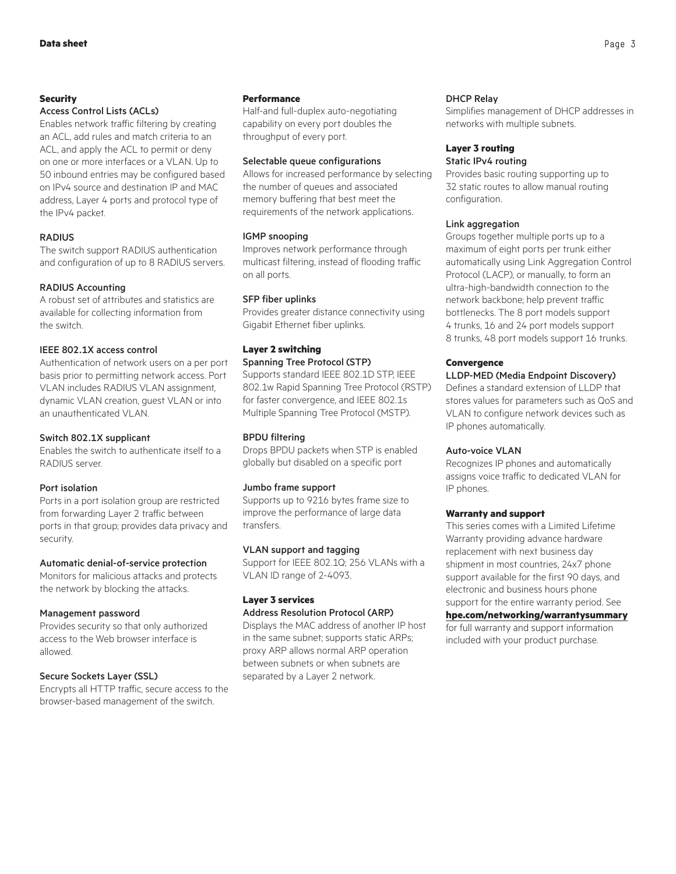#### **Security**

#### Access Control Lists (ACLs)

Enables network traffic filtering by creating an ACL, add rules and match criteria to an ACL, and apply the ACL to permit or deny on one or more interfaces or a VLAN. Up to 50 inbound entries may be configured based on IPv4 source and destination IP and MAC address, Layer 4 ports and protocol type of the IPv4 packet.

#### **RADIUS**

The switch support RADIUS authentication and configuration of up to 8 RADIUS servers.

#### RADIUS Accounting

A robust set of attributes and statistics are available for collecting information from the switch.

#### IEEE 802.1X access control

Authentication of network users on a per port basis prior to permitting network access. Port VLAN includes RADIUS VLAN assignment, dynamic VLAN creation, guest VLAN or into an unauthenticated VLAN.

#### Switch 802.1X supplicant

Enables the switch to authenticate itself to a RADIUS server.

#### Port isolation

Ports in a port isolation group are restricted from forwarding Layer 2 traffic between ports in that group; provides data privacy and security.

#### Automatic denial-of-service protection

Monitors for malicious attacks and protects the network by blocking the attacks.

#### Management password

Provides security so that only authorized access to the Web browser interface is allowed.

#### Secure Sockets Layer (SSL)

Encrypts all HTTP traffic, secure access to the browser-based management of the switch.

#### **Performance**

Half-and full-duplex auto-negotiating capability on every port doubles the throughput of every port.

#### Selectable queue configurations

Allows for increased performance by selecting the number of queues and associated memory buffering that best meet the requirements of the network applications.

#### IGMP snooping

Improves network performance through multicast filtering, instead of flooding traffic on all ports.

#### SFP fiber uplinks

Provides greater distance connectivity using Gigabit Ethernet fiber uplinks.

#### **Layer 2 switching**

#### Spanning Tree Protocol (STP)

Supports standard IEEE 802.1D STP, IEEE 802.1w Rapid Spanning Tree Protocol (RSTP) for faster convergence, and IEEE 802.1s Multiple Spanning Tree Protocol (MSTP).

#### BPDU filtering

Drops BPDU packets when STP is enabled globally but disabled on a specific port

#### Jumbo frame support

Supports up to 9216 bytes frame size to improve the performance of large data transfers.

#### VLAN support and tagging

Support for IEEE 802.1Q; 256 VLANs with a VLAN ID range of 2-4093.

#### **Layer 3 services** Address Resolution Protocol (ARP)

Displays the MAC address of another IP host in the same subnet; supports static ARPs; proxy ARP allows normal ARP operation between subnets or when subnets are separated by a Layer 2 network.

#### DHCP Relay

Simplifies management of DHCP addresses in networks with multiple subnets.

#### **Layer 3 routing** Static IPv4 routing

Provides basic routing supporting up to 32 static routes to allow manual routing configuration.

#### Link aggregation

Groups together multiple ports up to a maximum of eight ports per trunk either automatically using Link Aggregation Control Protocol (LACP), or manually, to form an ultra-high-bandwidth connection to the network backbone; help prevent traffic bottlenecks. The 8 port models support 4 trunks, 16 and 24 port models support 8 trunks, 48 port models support 16 trunks.

#### **Convergence**

#### LLDP-MED (Media Endpoint Discovery)

Defines a standard extension of LLDP that stores values for parameters such as QoS and VLAN to configure network devices such as IP phones automatically.

#### Auto-voice VLAN

Recognizes IP phones and automatically assigns voice traffic to dedicated VLAN for IP phones.

#### **Warranty and support**

This series comes with a Limited Lifetime Warranty providing advance hardware replacement with next business day shipment in most countries, 24x7 phone support available for the first 90 days, and electronic and business hours phone support for the entire warranty period. See **[hpe.com/networking/warrantysummary](http://hpe.com/networking/warrantysummary)**

for full warranty and support information included with your product purchase.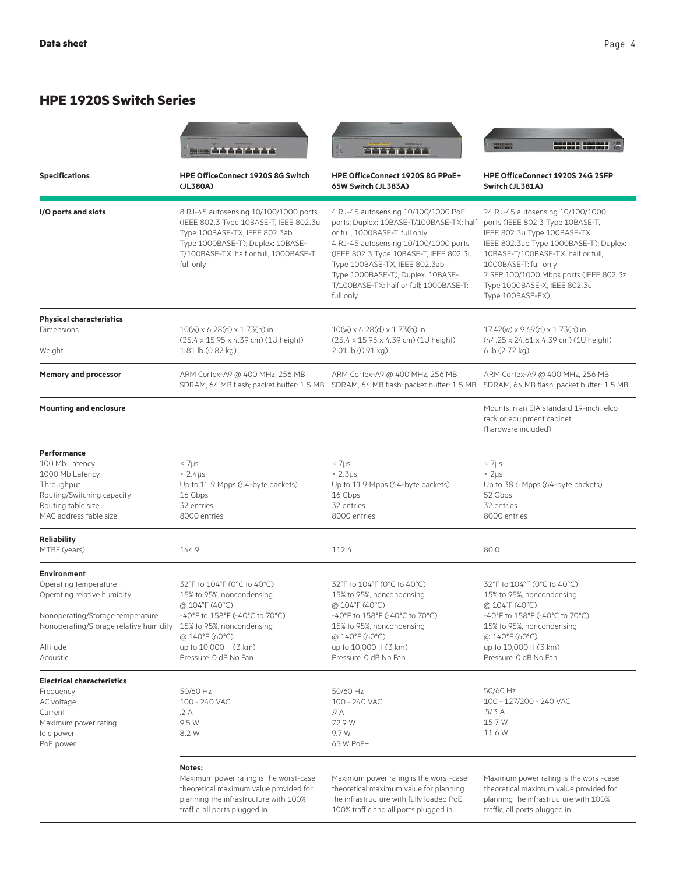## **HPE 1920S Switch Series**

|                                                                                                                                                                                  | man Strick Science                                                                                                                                                                                             |                                                                                                                                                                                                                                                                                                                                     | 200222 200222                                                                                                                                                                                                                                                                                               |
|----------------------------------------------------------------------------------------------------------------------------------------------------------------------------------|----------------------------------------------------------------------------------------------------------------------------------------------------------------------------------------------------------------|-------------------------------------------------------------------------------------------------------------------------------------------------------------------------------------------------------------------------------------------------------------------------------------------------------------------------------------|-------------------------------------------------------------------------------------------------------------------------------------------------------------------------------------------------------------------------------------------------------------------------------------------------------------|
| <b>Specifications</b>                                                                                                                                                            | <b>HPE OfficeConnect 1920S 8G Switch</b><br>(JL380A)                                                                                                                                                           | HPE OfficeConnect 1920S 8G PPoE+<br>65W Switch (JL383A)                                                                                                                                                                                                                                                                             | HPE OfficeConnect 1920S 24G 2SFP<br>Switch (JL381A)                                                                                                                                                                                                                                                         |
| I/O ports and slots                                                                                                                                                              | 8 RJ-45 autosensing 10/100/1000 ports<br>(IEEE 802.3 Type 10BASE-T, IEEE 802.3u<br>Type 100BASE-TX, IEEE 802.3ab<br>Type 1000BASE-T); Duplex: 10BASE-<br>T/100BASE-TX: half or full; 1000BASE-T:<br>full only  | 4 RJ-45 autosensing 10/100/1000 PoE+<br>ports; Duplex: 10BASE-T/100BASE-TX: half<br>or full; 1000BASE-T: full only<br>4 RJ-45 autosensing 10/100/1000 ports<br>(IEEE 802.3 Type 10BASE-T, IEEE 802.3u<br>Type 100BASE-TX, IEEE 802.3ab<br>Type 1000BASE-T); Duplex: 10BASE-<br>T/100BASE-TX: half or full; 1000BASE-T:<br>full only | 24 RJ-45 autosensing 10/100/1000<br>ports (IEEE 802.3 Type 10BASE-T,<br>IEEE 802.3u Type 100BASE-TX,<br>IEEE 802.3ab Type 1000BASE-T); Duplex:<br>10BASE-T/100BASE-TX: half or full;<br>1000BASE-T: full only<br>2 SFP 100/1000 Mbps ports (IEEE 802.3z<br>Type 1000BASE-X, IEEE 802.3u<br>Type 100BASE-FX) |
| <b>Physical characteristics</b><br>Dimensions<br>Weight                                                                                                                          | $10(w) \times 6.28(d) \times 1.73(h)$ in<br>(25.4 x 15.95 x 4.39 cm) (1U height)<br>1.81 lb (0.82 kg)                                                                                                          | $10(w) \times 6.28(d) \times 1.73(h)$ in<br>(25.4 x 15.95 x 4.39 cm) (1U height)<br>2.01 lb (0.91 kg)                                                                                                                                                                                                                               | 17.42(w) x 9.69(d) x 1.73(h) in<br>$(44.25 \times 24.61 \times 4.39$ cm) (1U height)<br>6 lb (2.72 kg)                                                                                                                                                                                                      |
| <b>Memory and processor</b>                                                                                                                                                      | ARM Cortex-A9 @ 400 MHz, 256 MB<br>SDRAM, 64 MB flash; packet buffer: 1.5 MB                                                                                                                                   | ARM Cortex-A9 @ 400 MHz, 256 MB<br>SDRAM, 64 MB flash; packet buffer: 1.5 MB                                                                                                                                                                                                                                                        | ARM Cortex-A9 @ 400 MHz, 256 MB<br>SDRAM, 64 MB flash; packet buffer: 1.5 MB                                                                                                                                                                                                                                |
| <b>Mounting and enclosure</b>                                                                                                                                                    |                                                                                                                                                                                                                |                                                                                                                                                                                                                                                                                                                                     | Mounts in an EIA standard 19-inch telco<br>rack or equipment cabinet<br>(hardware included)                                                                                                                                                                                                                 |
| <b>Performance</b><br>100 Mb Latency<br>1000 Mb Latency<br>Throughput<br>Routing/Switching capacity<br>Routing table size<br>MAC address table size                              | $< 7 \mu s$<br>$< 2.4 \mu s$<br>Up to 11.9 Mpps (64-byte packets)<br>16 Gbps<br>32 entries<br>8000 entries                                                                                                     | < 7µs<br>$< 2.3 \mu s$<br>Up to 11.9 Mpps (64-byte packets)<br>16 Gbps<br>32 entries<br>8000 entries                                                                                                                                                                                                                                | $< 7 \mu s$<br>$< 2 \mu s$<br>Up to 38.6 Mpps (64-byte packets)<br>52 Gbps<br>32 entries<br>8000 entries                                                                                                                                                                                                    |
| <b>Reliability</b><br>MTBF (years)                                                                                                                                               | 144.9                                                                                                                                                                                                          | 112.4                                                                                                                                                                                                                                                                                                                               | 80.0                                                                                                                                                                                                                                                                                                        |
| <b>Environment</b><br>Operating temperature<br>Operating relative humidity<br>Nonoperating/Storage temperature<br>Nonoperating/Storage relative humidity<br>Altitude<br>Acoustic | 32°F to 104°F (0°C to 40°C)<br>15% to 95%, noncondensing<br>@ 104°F (40°C)<br>-40°F to 158°F (-40°C to 70°C)<br>15% to 95%, noncondensing<br>@ 140°F (60°C)<br>up to 10,000 ft (3 km)<br>Pressure: 0 dB No Fan | 32°F to 104°F (0°C to 40°C)<br>15% to 95%, noncondensing<br>@ 104°F (40°C)<br>-40°F to 158°F (-40°C to 70°C)<br>15% to 95%, noncondensing<br>@ 140°F (60°C)<br>up to 10,000 ft (3 km)<br>Pressure: 0 dB No Fan                                                                                                                      | 32°F to 104°F (0°C to 40°C)<br>15% to 95%, noncondensing<br>@ 104°F (40°C)<br>-40°F to 158°F (-40°C to 70°C)<br>15% to 95%, noncondensing<br>@ 140°F (60°C)<br>up to 10,000 ft (3 km)<br>Pressure: 0 dB No Fan                                                                                              |
| <b>Electrical characteristics</b><br>Frequency<br>AC voltage<br>Current<br>Maximum power rating<br>Idle power<br>PoE power                                                       | 50/60 Hz<br>100 - 240 VAC<br>.2 A<br>9.5 W<br>8.2 W<br>Notes:                                                                                                                                                  | 50/60 Hz<br>100 - 240 VAC<br>.9 A<br>72.9 W<br>9.7 W<br>65 W PoE+                                                                                                                                                                                                                                                                   | 50/60 Hz<br>100 - 127/200 - 240 VAC<br>.5/.3 A<br>15.7 W<br>11.6 W                                                                                                                                                                                                                                          |
|                                                                                                                                                                                  | Maximum power rating is the worst-case<br>theoretical maximum value provided for<br>planning the infrastructure with 100%<br>traffic, all ports plugged in.                                                    | Maximum power rating is the worst-case<br>theoretical maximum value for planning<br>the infrastructure with fully loaded PoE,<br>100% traffic and all ports plugged in.                                                                                                                                                             | Maximum power rating is the worst-case<br>theoretical maximum value provided for<br>planning the infrastructure with 100%<br>traffic, all ports plugged in.                                                                                                                                                 |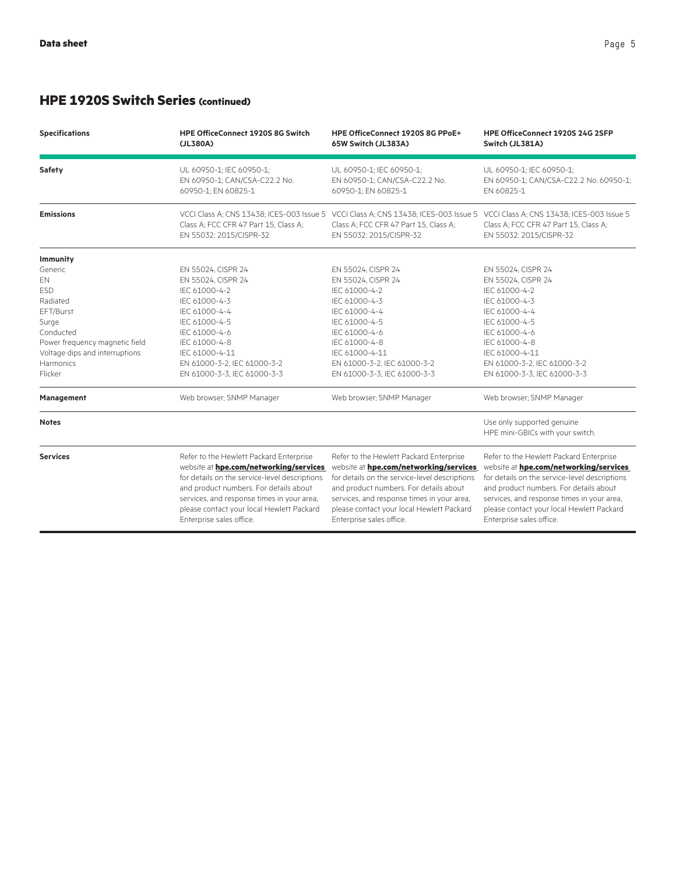# **HPE 1920S Switch Series (continued)**

| <b>Specifications</b>          | <b>HPE OfficeConnect 1920S 8G Switch</b>                         | HPE OfficeConnect 1920S 8G PPoE+                                 | HPE OfficeConnect 1920S 24G 2SFP                                                                                                                                                                  |
|--------------------------------|------------------------------------------------------------------|------------------------------------------------------------------|---------------------------------------------------------------------------------------------------------------------------------------------------------------------------------------------------|
|                                | (JL380A)                                                         | 65W Switch (JL383A)                                              | Switch (JL381A)                                                                                                                                                                                   |
| Safety                         | UL 60950-1; IEC 60950-1;                                         | UL 60950-1; IEC 60950-1;                                         | UL 60950-1; IEC 60950-1;                                                                                                                                                                          |
|                                | EN 60950-1; CAN/CSA-C22.2 No.                                    | EN 60950-1; CAN/CSA-C22.2 No.                                    | EN 60950-1; CAN/CSA-C22.2 No. 60950-1;                                                                                                                                                            |
|                                | 60950-1; EN 60825-1                                              | 60950-1; EN 60825-1                                              | EN 60825-1                                                                                                                                                                                        |
| <b>Emissions</b>               | Class A: FCC CFR 47 Part 15, Class A:<br>EN 55032: 2015/CISPR-32 | Class A; FCC CFR 47 Part 15, Class A;<br>EN 55032: 2015/CISPR-32 | VCCI Class A; CNS 13438; ICES-003 Issue 5 VCCI Class A; CNS 13438; ICES-003 Issue 5 VCCI Class A; CNS 13438; ICES-003 Issue 5<br>Class A; FCC CFR 47 Part 15, Class A;<br>EN 55032: 2015/CISPR-32 |
| Immunity                       |                                                                  |                                                                  |                                                                                                                                                                                                   |
| Generic                        | EN 55024, CISPR 24                                               | EN 55024, CISPR 24                                               | EN 55024, CISPR 24                                                                                                                                                                                |
| EN                             | EN 55024, CISPR 24                                               | EN 55024, CISPR 24                                               | EN 55024, CISPR 24                                                                                                                                                                                |
| <b>ESD</b>                     | IEC 61000-4-2                                                    | IEC 61000-4-2                                                    | IEC 61000-4-2                                                                                                                                                                                     |
| Radiated                       | IEC 61000-4-3                                                    | IEC 61000-4-3                                                    | IEC 61000-4-3                                                                                                                                                                                     |
| EFT/Burst                      | IEC 61000-4-4                                                    | IEC 61000-4-4                                                    | IEC 61000-4-4                                                                                                                                                                                     |
| Surge                          | IEC 61000-4-5                                                    | IEC 61000-4-5                                                    | IEC 61000-4-5                                                                                                                                                                                     |
| Conducted                      | IEC 61000-4-6                                                    | IEC 61000-4-6                                                    | IEC 61000-4-6                                                                                                                                                                                     |
| Power frequency magnetic field | IEC 61000-4-8                                                    | IEC 61000-4-8                                                    | IEC 61000-4-8                                                                                                                                                                                     |
| Voltage dips and interruptions | IEC 61000-4-11                                                   | IEC 61000-4-11                                                   | IEC 61000-4-11                                                                                                                                                                                    |
| Harmonics                      | EN 61000-3-2, IEC 61000-3-2                                      | EN 61000-3-2, IEC 61000-3-2                                      | EN 61000-3-2, IEC 61000-3-2                                                                                                                                                                       |
| Flicker                        | EN 61000-3-3, IEC 61000-3-3                                      | EN 61000-3-3, IEC 61000-3-3                                      | EN 61000-3-3, IEC 61000-3-3                                                                                                                                                                       |
| Management                     | Web browser; SNMP Manager                                        | Web browser; SNMP Manager                                        | Web browser; SNMP Manager                                                                                                                                                                         |
| <b>Notes</b>                   |                                                                  |                                                                  | Use only supported genuine<br>HPE mini-GBICs with your switch.                                                                                                                                    |
| <b>Services</b>                | Refer to the Hewlett Packard Enterprise                          | Refer to the Hewlett Packard Enterprise                          | Refer to the Hewlett Packard Enterprise                                                                                                                                                           |
|                                | website at hpe.com/networking/services                           | website at hpe.com/networking/services                           | website at hpe.com/networking/services                                                                                                                                                            |
|                                | for details on the service-level descriptions                    | for details on the service-level descriptions                    | for details on the service-level descriptions                                                                                                                                                     |
|                                | and product numbers. For details about                           | and product numbers. For details about                           | and product numbers. For details about                                                                                                                                                            |
|                                | services, and response times in your area,                       | services, and response times in your area,                       | services, and response times in your area,                                                                                                                                                        |
|                                | please contact your local Hewlett Packard                        | please contact your local Hewlett Packard                        | please contact your local Hewlett Packard                                                                                                                                                         |
|                                | Enterprise sales office.                                         | Enterprise sales office.                                         | Enterprise sales office.                                                                                                                                                                          |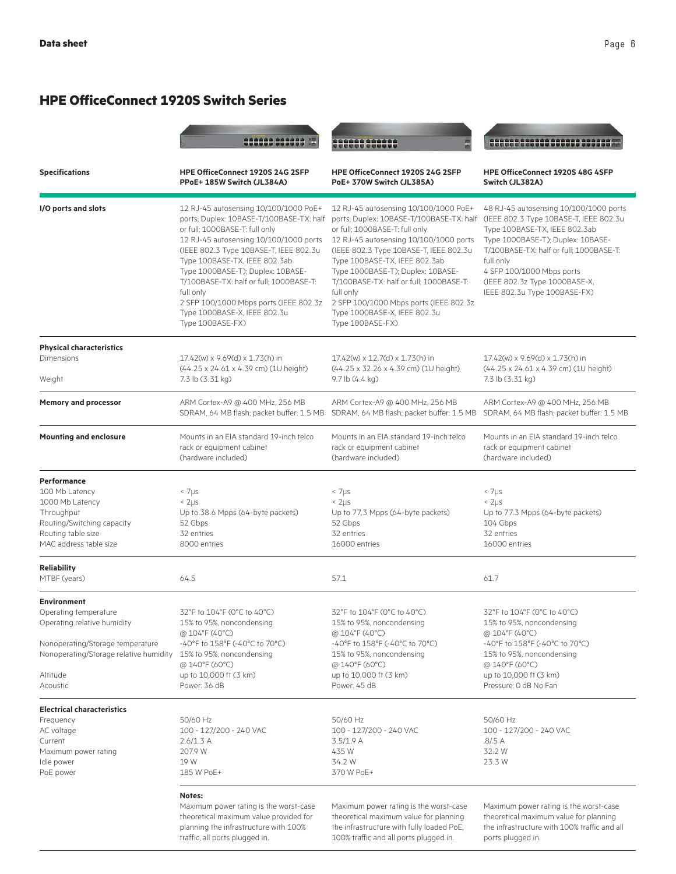# **HPE OfficeConnect 1920S Switch Series**

|                                                                                                                                                                                  | <b>988888 888888</b>                                                                                                                                                                                                                                                                                                                                                                                                                | <u>HHHHHHH</u>                                                                                                                                                                                                                                                                                                                                                                                                                      | 1111111111111111                                                                                                                                                                                                                                                                                             |
|----------------------------------------------------------------------------------------------------------------------------------------------------------------------------------|-------------------------------------------------------------------------------------------------------------------------------------------------------------------------------------------------------------------------------------------------------------------------------------------------------------------------------------------------------------------------------------------------------------------------------------|-------------------------------------------------------------------------------------------------------------------------------------------------------------------------------------------------------------------------------------------------------------------------------------------------------------------------------------------------------------------------------------------------------------------------------------|--------------------------------------------------------------------------------------------------------------------------------------------------------------------------------------------------------------------------------------------------------------------------------------------------------------|
| <b>Specifications</b>                                                                                                                                                            | HPE OfficeConnect 1920S 24G 2SFP<br>PPoE+185W Switch (JL384A)                                                                                                                                                                                                                                                                                                                                                                       | HPE OfficeConnect 1920S 24G 2SFP<br>PoE+370W Switch (JL385A)                                                                                                                                                                                                                                                                                                                                                                        | HPE OfficeConnect 1920S 48G 4SFP<br>Switch (JL382A)                                                                                                                                                                                                                                                          |
| I/O ports and slots                                                                                                                                                              | 12 RJ-45 autosensing 10/100/1000 PoE+<br>ports; Duplex: 10BASE-T/100BASE-TX: half<br>or full; 1000BASE-T: full only<br>12 RJ-45 autosensing 10/100/1000 ports<br>(IEEE 802.3 Type 10BASE-T, IEEE 802.3u<br>Type 100BASE-TX, IEEE 802.3ab<br>Type 1000BASE-T); Duplex: 10BASE-<br>T/100BASE-TX: half or full; 1000BASE-T:<br>full only<br>2 SFP 100/1000 Mbps ports (IEEE 802.3z<br>Type 1000BASE-X, IEEE 802.3u<br>Type 100BASE-FX) | 12 RJ-45 autosensing 10/100/1000 PoE+<br>ports; Duplex: 10BASE-T/100BASE-TX: half<br>or full; 1000BASE-T: full only<br>12 RJ-45 autosensing 10/100/1000 ports<br>(IEEE 802.3 Type 10BASE-T, IEEE 802.3u<br>Type 100BASE-TX, IEEE 802.3ab<br>Type 1000BASE-T); Duplex: 10BASE-<br>T/100BASE-TX: half or full; 1000BASE-T:<br>full only<br>2 SFP 100/1000 Mbps ports (IEEE 802.3z<br>Type 1000BASE-X, IEEE 802.3u<br>Type 100BASE-FX) | 48 RJ-45 autosensing 10/100/1000 ports<br>(IEEE 802.3 Type 10BASE-T, IEEE 802.3u<br>Type 100BASE-TX, IEEE 802.3ab<br>Type 1000BASE-T); Duplex: 10BASE-<br>T/100BASE-TX: half or full; 1000BASE-T:<br>full only<br>4 SFP 100/1000 Mbps ports<br>(IEEE 802.3z Type 1000BASE-X,<br>IEEE 802.3u Type 100BASE-FX) |
| <b>Physical characteristics</b><br>Dimensions                                                                                                                                    | 17.42(w) x 9.69(d) x 1.73(h) in<br>(44.25 x 24.61 x 4.39 cm) (1U height)                                                                                                                                                                                                                                                                                                                                                            | 17.42(w) x 12.7(d) x 1.73(h) in<br>(44.25 x 32.26 x 4.39 cm) (1U height)                                                                                                                                                                                                                                                                                                                                                            | 17.42(w) x 9.69(d) x 1.73(h) in<br>(44.25 x 24.61 x 4.39 cm) (1U height)                                                                                                                                                                                                                                     |
| Weight<br><b>Memory and processor</b>                                                                                                                                            | 7.3 lb (3.31 kg)<br>ARM Cortex-A9 @ 400 MHz, 256 MB                                                                                                                                                                                                                                                                                                                                                                                 | 9.7 lb $(4.4 \text{ kg})$<br>ARM Cortex-A9 @ 400 MHz, 256 MB                                                                                                                                                                                                                                                                                                                                                                        | 7.3 lb (3.31 kg)<br>ARM Cortex-A9 @ 400 MHz, 256 MB                                                                                                                                                                                                                                                          |
| <b>Mounting and enclosure</b>                                                                                                                                                    | SDRAM, 64 MB flash; packet buffer: 1.5 MB<br>Mounts in an EIA standard 19-inch telco<br>rack or equipment cabinet<br>(hardware included)                                                                                                                                                                                                                                                                                            | SDRAM, 64 MB flash; packet buffer: 1.5 MB<br>Mounts in an EIA standard 19-inch telco<br>rack or equipment cabinet<br>(hardware included)                                                                                                                                                                                                                                                                                            | SDRAM, 64 MB flash; packet buffer: 1.5 MB<br>Mounts in an EIA standard 19-inch telco<br>rack or equipment cabinet<br>(hardware included)                                                                                                                                                                     |
| <b>Performance</b><br>100 Mb Latency<br>1000 Mb Latency<br>Throughput<br>Routing/Switching capacity<br>Routing table size<br>MAC address table size                              | $< 7 \mu s$<br>$\leq 2 \mu s$<br>Up to 38.6 Mpps (64-byte packets)<br>52 Gbps<br>32 entries<br>8000 entries                                                                                                                                                                                                                                                                                                                         | $\leq 7 \mu s$<br>$\leq 2 \mu s$<br>Up to 77.3 Mpps (64-byte packets)<br>52 Gbps<br>32 entries<br>16000 entries                                                                                                                                                                                                                                                                                                                     | $\leq 7 \mu s$<br>$\leq 2 \mu s$<br>Up to 77.3 Mpps (64-byte packets)<br>104 Gbps<br>32 entries<br>16000 entries                                                                                                                                                                                             |
| <b>Reliability</b><br>MTBF (years)                                                                                                                                               | 64.5                                                                                                                                                                                                                                                                                                                                                                                                                                | 57.1                                                                                                                                                                                                                                                                                                                                                                                                                                | 61.7                                                                                                                                                                                                                                                                                                         |
| <b>Environment</b><br>Operating temperature<br>Operating relative humidity<br>Nonoperating/Storage temperature<br>Nonoperating/Storage relative humidity<br>Altitude<br>Acoustic | 32°F to 104°F (0°C to 40°C)<br>15% to 95%, noncondensing<br>@ 104°F (40°C)<br>-40°F to 158°F (-40°C to 70°C)<br>15% to 95%, noncondensing<br>@ 140°F (60°C)<br>up to 10,000 ft (3 km)<br>Power: 36 dB                                                                                                                                                                                                                               | 32°F to 104°F (0°C to 40°C)<br>15% to 95%, noncondensing<br>@ 104°F (40°C)<br>-40°F to 158°F (-40°C to 70°C)<br>15% to 95%, noncondensing<br>@ 140°F (60°C)<br>up to 10,000 ft (3 km)<br>Power: 45 dB                                                                                                                                                                                                                               | 32°F to 104°F (0°C to 40°C)<br>15% to 95%, noncondensing<br>@ 104°F (40°C)<br>-40°F to $158$ °F (-40°C to 70°C)<br>15% to 95%, noncondensing<br>@ 140°F (60°C)<br>up to 10,000 ft (3 km)<br>Pressure: 0 dB No Fan                                                                                            |
| <b>Electrical characteristics</b><br>Frequency<br>AC voltage<br>Current<br>Maximum power rating<br>Idle power<br>PoE power                                                       | 50/60 Hz<br>100 - 127/200 - 240 VAC<br>2.6/1.3 A<br>207.9 W<br>19 W<br>185 W PoE+                                                                                                                                                                                                                                                                                                                                                   | 50/60 Hz<br>100 - 127/200 - 240 VAC<br>3.5/1.9 A<br>435 W<br>34.2 W<br>370 W PoE+                                                                                                                                                                                                                                                                                                                                                   | 50/60 Hz<br>100 - 127/200 - 240 VAC<br>.8/5A<br>32.2 W<br>23.3 W                                                                                                                                                                                                                                             |
|                                                                                                                                                                                  | Notes:<br>Maximum power rating is the worst-case<br>theoretical maximum value provided for<br>planning the infrastructure with 100%                                                                                                                                                                                                                                                                                                 | Maximum power rating is the worst-case<br>theoretical maximum value for planning<br>the infrastructure with fully loaded PoE,                                                                                                                                                                                                                                                                                                       | Maximum power rating is the worst-case<br>theoretical maximum value for planning<br>the infrastructure with 100% traffic and all                                                                                                                                                                             |

100% traffic and all ports plugged in.

ports plugged in.

traffic, all ports plugged in.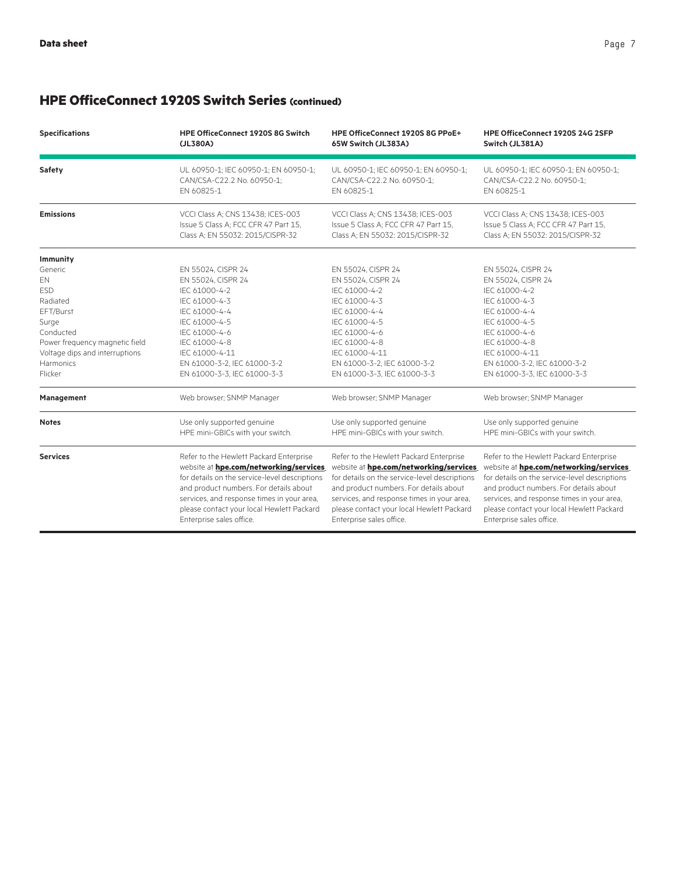# **HPE OfficeConnect 1920S Switch Series (continued)**

| <b>Specifications</b>          | <b>HPE OfficeConnect 1920S 8G Switch</b><br>(JL380A)                                                                                                                                                                                                                                                | HPE OfficeConnect 1920S 8G PPoE+<br>65W Switch (JL383A)                                                                                                                                                                                                                                             | HPE OfficeConnect 1920S 24G 2SFP<br>Switch (JL381A)                                                                                                                                                                                                                                                 |
|--------------------------------|-----------------------------------------------------------------------------------------------------------------------------------------------------------------------------------------------------------------------------------------------------------------------------------------------------|-----------------------------------------------------------------------------------------------------------------------------------------------------------------------------------------------------------------------------------------------------------------------------------------------------|-----------------------------------------------------------------------------------------------------------------------------------------------------------------------------------------------------------------------------------------------------------------------------------------------------|
| Safety                         | UL 60950-1; IEC 60950-1; EN 60950-1;<br>CAN/CSA-C22.2 No. 60950-1;<br>EN 60825-1                                                                                                                                                                                                                    | UL 60950-1; IEC 60950-1; EN 60950-1;<br>CAN/CSA-C22.2 No. 60950-1;<br>EN 60825-1                                                                                                                                                                                                                    | UL 60950-1; IEC 60950-1; EN 60950-1;<br>CAN/CSA-C22.2 No. 60950-1;<br>EN 60825-1                                                                                                                                                                                                                    |
| <b>Emissions</b>               | VCCI Class A: CNS 13438; ICES-003<br>Issue 5 Class A; FCC CFR 47 Part 15,<br>Class A; EN 55032: 2015/CISPR-32                                                                                                                                                                                       | VCCI Class A; CNS 13438; ICES-003<br>Issue 5 Class A; FCC CFR 47 Part 15,<br>Class A; EN 55032: 2015/CISPR-32                                                                                                                                                                                       | VCCI Class A; CNS 13438; ICES-003<br>Issue 5 Class A; FCC CFR 47 Part 15,<br>Class A: EN 55032: 2015/CISPR-32                                                                                                                                                                                       |
| Immunity                       |                                                                                                                                                                                                                                                                                                     |                                                                                                                                                                                                                                                                                                     |                                                                                                                                                                                                                                                                                                     |
| Generic<br>EN                  | EN 55024, CISPR 24<br>EN 55024, CISPR 24                                                                                                                                                                                                                                                            | EN 55024, CISPR 24<br>EN 55024, CISPR 24                                                                                                                                                                                                                                                            | EN 55024, CISPR 24<br>EN 55024, CISPR 24                                                                                                                                                                                                                                                            |
| <b>ESD</b>                     | IEC 61000-4-2                                                                                                                                                                                                                                                                                       | IEC 61000-4-2                                                                                                                                                                                                                                                                                       | IEC 61000-4-2                                                                                                                                                                                                                                                                                       |
| Radiated                       | IEC 61000-4-3                                                                                                                                                                                                                                                                                       | IEC 61000-4-3                                                                                                                                                                                                                                                                                       | IEC 61000-4-3                                                                                                                                                                                                                                                                                       |
| EFT/Burst                      | IEC 61000-4-4                                                                                                                                                                                                                                                                                       | IEC 61000-4-4                                                                                                                                                                                                                                                                                       | IEC 61000-4-4                                                                                                                                                                                                                                                                                       |
| Surge                          | IEC 61000-4-5                                                                                                                                                                                                                                                                                       | IEC 61000-4-5                                                                                                                                                                                                                                                                                       | IEC 61000-4-5                                                                                                                                                                                                                                                                                       |
| Conducted                      | IEC 61000-4-6                                                                                                                                                                                                                                                                                       | IEC 61000-4-6                                                                                                                                                                                                                                                                                       | IEC 61000-4-6                                                                                                                                                                                                                                                                                       |
| Power frequency magnetic field | IEC 61000-4-8                                                                                                                                                                                                                                                                                       | IEC 61000-4-8                                                                                                                                                                                                                                                                                       | IEC 61000-4-8                                                                                                                                                                                                                                                                                       |
| Voltage dips and interruptions | IEC 61000-4-11                                                                                                                                                                                                                                                                                      | IEC 61000-4-11                                                                                                                                                                                                                                                                                      | IEC 61000-4-11                                                                                                                                                                                                                                                                                      |
| Harmonics                      | EN 61000-3-2, IEC 61000-3-2                                                                                                                                                                                                                                                                         | EN 61000-3-2, IEC 61000-3-2                                                                                                                                                                                                                                                                         | EN 61000-3-2, IEC 61000-3-2                                                                                                                                                                                                                                                                         |
| Flicker                        | EN 61000-3-3, IEC 61000-3-3                                                                                                                                                                                                                                                                         | EN 61000-3-3, IEC 61000-3-3                                                                                                                                                                                                                                                                         | EN 61000-3-3, IEC 61000-3-3                                                                                                                                                                                                                                                                         |
| Management                     | Web browser; SNMP Manager                                                                                                                                                                                                                                                                           | Web browser; SNMP Manager                                                                                                                                                                                                                                                                           | Web browser; SNMP Manager                                                                                                                                                                                                                                                                           |
| <b>Notes</b>                   | Use only supported genuine<br>HPE mini-GBICs with your switch.                                                                                                                                                                                                                                      | Use only supported genuine<br>HPE mini-GBICs with your switch.                                                                                                                                                                                                                                      | Use only supported genuine<br>HPE mini-GBICs with your switch.                                                                                                                                                                                                                                      |
| <b>Services</b>                | Refer to the Hewlett Packard Enterprise<br>website at hpe.com/networking/services<br>for details on the service-level descriptions<br>and product numbers. For details about<br>services, and response times in your area,<br>please contact your local Hewlett Packard<br>Enterprise sales office. | Refer to the Hewlett Packard Enterprise<br>website at hpe.com/networking/services<br>for details on the service-level descriptions<br>and product numbers. For details about<br>services, and response times in your area,<br>please contact your local Hewlett Packard<br>Enterprise sales office. | Refer to the Hewlett Packard Enterprise<br>website at hpe.com/networking/services<br>for details on the service-level descriptions<br>and product numbers. For details about<br>services, and response times in your area,<br>please contact your local Hewlett Packard<br>Enterprise sales office. |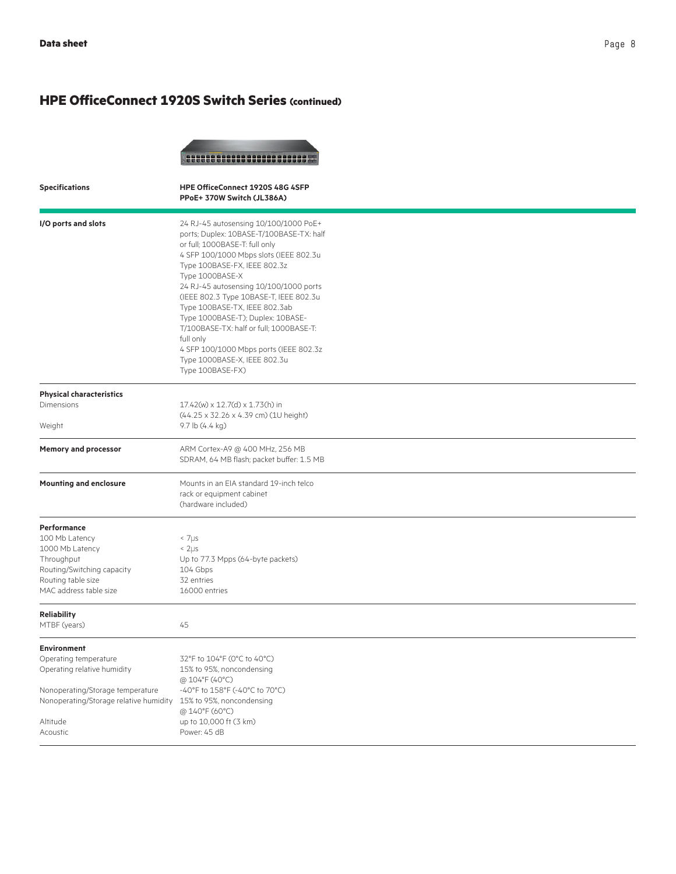## **HPE OfficeConnect 1920S Switch Series (continued)**



| <b>Specifications</b>                            | HPE OfficeConnect 1920S 48G 4SFP<br>PPoE+ 370W Switch (JL386A)                                                                                                                                                                                                                                                                                                                                                                                                                                                                   |
|--------------------------------------------------|----------------------------------------------------------------------------------------------------------------------------------------------------------------------------------------------------------------------------------------------------------------------------------------------------------------------------------------------------------------------------------------------------------------------------------------------------------------------------------------------------------------------------------|
| I/O ports and slots                              | 24 RJ-45 autosensing 10/100/1000 PoE+<br>ports; Duplex: 10BASE-T/100BASE-TX: half<br>or full; 1000BASE-T: full only<br>4 SFP 100/1000 Mbps slots (IEEE 802.3u<br>Type 100BASE-FX, IEEE 802.3z<br>Type 1000BASE-X<br>24 RJ-45 autosensing 10/100/1000 ports<br>(IEEE 802.3 Type 10BASE-T, IEEE 802.3u<br>Type 100BASE-TX, IEEE 802.3ab<br>Type 1000BASE-T); Duplex: 10BASE-<br>T/100BASE-TX: half or full; 1000BASE-T:<br>full only<br>4 SFP 100/1000 Mbps ports (IEEE 802.3z<br>Type 1000BASE-X, IEEE 802.3u<br>Type 100BASE-FX) |
| <b>Physical characteristics</b>                  |                                                                                                                                                                                                                                                                                                                                                                                                                                                                                                                                  |
| Dimensions                                       | 17.42(w) x 12.7(d) x 1.73(h) in                                                                                                                                                                                                                                                                                                                                                                                                                                                                                                  |
| Weight                                           | (44.25 x 32.26 x 4.39 cm) (1U height)<br>9.7 lb (4.4 kg)                                                                                                                                                                                                                                                                                                                                                                                                                                                                         |
| <b>Memory and processor</b>                      | ARM Cortex-A9 @ 400 MHz, 256 MB<br>SDRAM, 64 MB flash; packet buffer: 1.5 MB                                                                                                                                                                                                                                                                                                                                                                                                                                                     |
| <b>Mounting and enclosure</b>                    | Mounts in an EIA standard 19-inch telco<br>rack or equipment cabinet<br>(hardware included)                                                                                                                                                                                                                                                                                                                                                                                                                                      |
| <b>Performance</b>                               |                                                                                                                                                                                                                                                                                                                                                                                                                                                                                                                                  |
| 100 Mb Latency                                   | $< 7 \mu s$                                                                                                                                                                                                                                                                                                                                                                                                                                                                                                                      |
| 1000 Mb Latency                                  | $\leq 2 \mu s$                                                                                                                                                                                                                                                                                                                                                                                                                                                                                                                   |
| Throughput                                       | Up to 77.3 Mpps (64-byte packets)                                                                                                                                                                                                                                                                                                                                                                                                                                                                                                |
| Routing/Switching capacity<br>Routing table size | 104 Gbps<br>32 entries                                                                                                                                                                                                                                                                                                                                                                                                                                                                                                           |
| MAC address table size                           | 16000 entries                                                                                                                                                                                                                                                                                                                                                                                                                                                                                                                    |
| <b>Reliability</b>                               |                                                                                                                                                                                                                                                                                                                                                                                                                                                                                                                                  |
| MTBF (years)                                     | 45                                                                                                                                                                                                                                                                                                                                                                                                                                                                                                                               |
| <b>Environment</b>                               |                                                                                                                                                                                                                                                                                                                                                                                                                                                                                                                                  |
| Operating temperature                            | 32°F to 104°F (0°C to 40°C)                                                                                                                                                                                                                                                                                                                                                                                                                                                                                                      |
| Operating relative humidity                      | 15% to 95%, noncondensing                                                                                                                                                                                                                                                                                                                                                                                                                                                                                                        |
| Nonoperating/Storage temperature                 | @ 104°F (40°C)<br>-40°F to 158°F (-40°C to 70°C)                                                                                                                                                                                                                                                                                                                                                                                                                                                                                 |
| Nonoperating/Storage relative humidity           | 15% to 95%, noncondensing                                                                                                                                                                                                                                                                                                                                                                                                                                                                                                        |
|                                                  | @ 140°F (60°C)                                                                                                                                                                                                                                                                                                                                                                                                                                                                                                                   |
| Altitude                                         | up to 10,000 ft (3 km)                                                                                                                                                                                                                                                                                                                                                                                                                                                                                                           |
| Acoustic                                         | Power: 45 dB                                                                                                                                                                                                                                                                                                                                                                                                                                                                                                                     |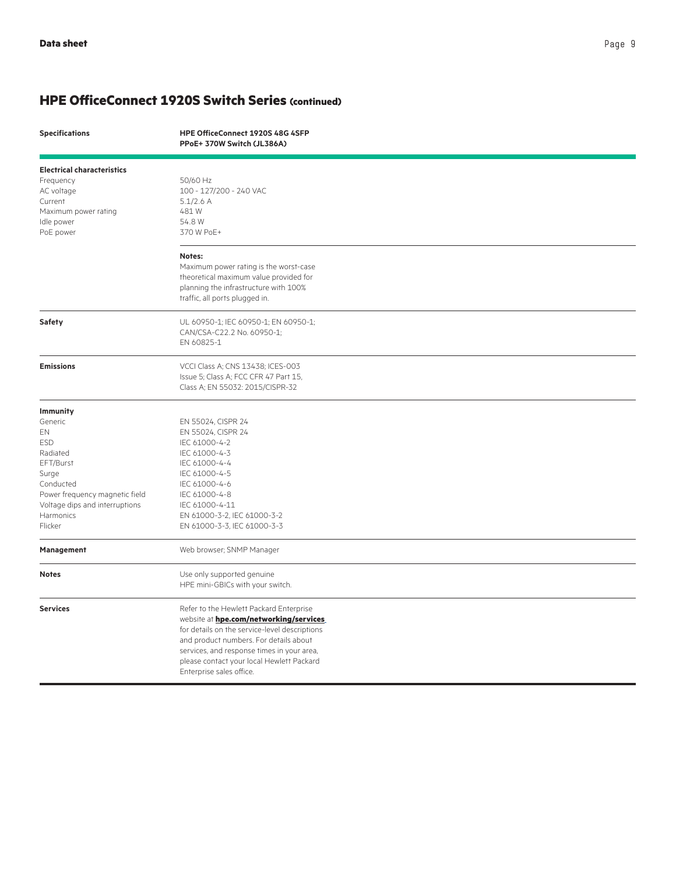### **HPE OfficeConnect 1920S Switch Series (continued)**

|  | <b>Specifications</b> |  |
|--|-----------------------|--|
|--|-----------------------|--|

**Specifications HPE OfficeConnect 1920S 48G 4SFP PPoE+ 370W Switch (JL386A)**

| <b>Electrical characteristics</b> |                                               |  |
|-----------------------------------|-----------------------------------------------|--|
| Frequency                         | 50/60 Hz                                      |  |
| AC voltage                        | 100 - 127/200 - 240 VAC                       |  |
| Current                           | $5.1/2.6$ A                                   |  |
| Maximum power rating              | 481W                                          |  |
| Idle power                        | 54.8 W                                        |  |
| PoE power                         | 370 W PoE+                                    |  |
|                                   |                                               |  |
|                                   | Notes:                                        |  |
|                                   | Maximum power rating is the worst-case        |  |
|                                   | theoretical maximum value provided for        |  |
|                                   | planning the infrastructure with 100%         |  |
|                                   | traffic, all ports plugged in.                |  |
| Safety                            | UL 60950-1; IEC 60950-1; EN 60950-1;          |  |
|                                   | CAN/CSA-C22.2 No. 60950-1;                    |  |
|                                   | EN 60825-1                                    |  |
| <b>Emissions</b>                  | VCCI Class A; CNS 13438; ICES-003             |  |
|                                   | Issue 5; Class A; FCC CFR 47 Part 15,         |  |
|                                   | Class A; EN 55032: 2015/CISPR-32              |  |
|                                   |                                               |  |
| <b>Immunity</b>                   |                                               |  |
| Generic                           | EN 55024, CISPR 24                            |  |
| EN<br><b>ESD</b>                  | EN 55024, CISPR 24<br>IEC 61000-4-2           |  |
| Radiated                          | IEC 61000-4-3                                 |  |
| EFT/Burst                         | IEC 61000-4-4                                 |  |
| Surge                             | IEC 61000-4-5                                 |  |
| Conducted                         | IEC 61000-4-6                                 |  |
| Power frequency magnetic field    | IEC 61000-4-8                                 |  |
| Voltage dips and interruptions    | IEC 61000-4-11                                |  |
| Harmonics                         | EN 61000-3-2, IEC 61000-3-2                   |  |
| Flicker                           | EN 61000-3-3, IEC 61000-3-3                   |  |
|                                   |                                               |  |
| Management                        | Web browser; SNMP Manager                     |  |
| <b>Notes</b>                      | Use only supported genuine                    |  |
|                                   | HPE mini-GBICs with your switch.              |  |
| <b>Services</b>                   | Refer to the Hewlett Packard Enterprise       |  |
|                                   | website at hpe.com/networking/services        |  |
|                                   | for details on the service-level descriptions |  |
|                                   | and product numbers. For details about        |  |
|                                   | services, and response times in your area,    |  |
|                                   | please contact your local Hewlett Packard     |  |
|                                   | Enterprise sales office.                      |  |
|                                   |                                               |  |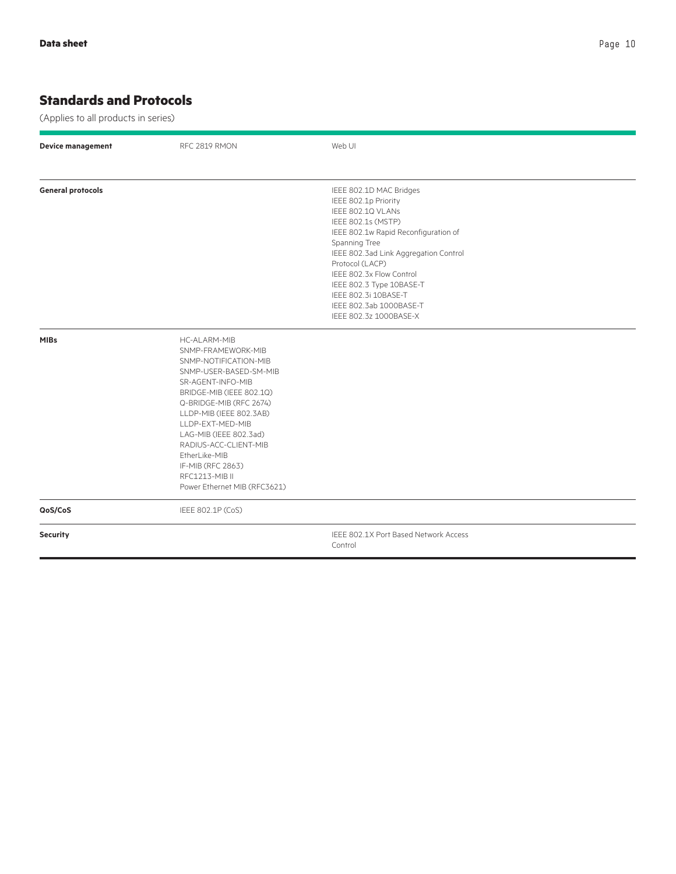## **Standards and Protocols**

(Applies to all products in series)

| <b>Device management</b> | RFC 2819 RMON                                                                                                                                                                                                                                                                                                                                               | Web UI                                                                                                                                                                                                                                                                                                                                               |
|--------------------------|-------------------------------------------------------------------------------------------------------------------------------------------------------------------------------------------------------------------------------------------------------------------------------------------------------------------------------------------------------------|------------------------------------------------------------------------------------------------------------------------------------------------------------------------------------------------------------------------------------------------------------------------------------------------------------------------------------------------------|
| <b>General protocols</b> |                                                                                                                                                                                                                                                                                                                                                             | IEEE 802.1D MAC Bridges<br>IEEE 802.1p Priority<br>IEEE 802.1Q VLANs<br>IEEE 802.1s (MSTP)<br>IEEE 802.1w Rapid Reconfiguration of<br>Spanning Tree<br>IEEE 802.3ad Link Aggregation Control<br>Protocol (LACP)<br>IEEE 802.3x Flow Control<br>IEEE 802.3 Type 10BASE-T<br>IEEE 802.3i 10BASE-T<br>IEEE 802.3ab 1000BASE-T<br>IEEE 802.3z 1000BASE-X |
| <b>MIBs</b>              | HC-ALARM-MIB<br>SNMP-FRAMEWORK-MIB<br>SNMP-NOTIFICATION-MIB<br>SNMP-USER-BASED-SM-MIB<br>SR-AGENT-INFO-MIB<br>BRIDGE-MIB (IEEE 802.1Q)<br>Q-BRIDGE-MIB (RFC 2674)<br>LLDP-MIB (IEEE 802.3AB)<br>LLDP-EXT-MED-MIB<br>LAG-MIB (IEEE 802.3ad)<br>RADIUS-ACC-CLIENT-MIB<br>EtherLike-MIB<br>IF-MIB (RFC 2863)<br>RFC1213-MIB II<br>Power Ethernet MIB (RFC3621) |                                                                                                                                                                                                                                                                                                                                                      |
| QoS/CoS                  | IEEE 802.1P (CoS)                                                                                                                                                                                                                                                                                                                                           |                                                                                                                                                                                                                                                                                                                                                      |
| <b>Security</b>          |                                                                                                                                                                                                                                                                                                                                                             | IEEE 802.1X Port Based Network Access<br>Control                                                                                                                                                                                                                                                                                                     |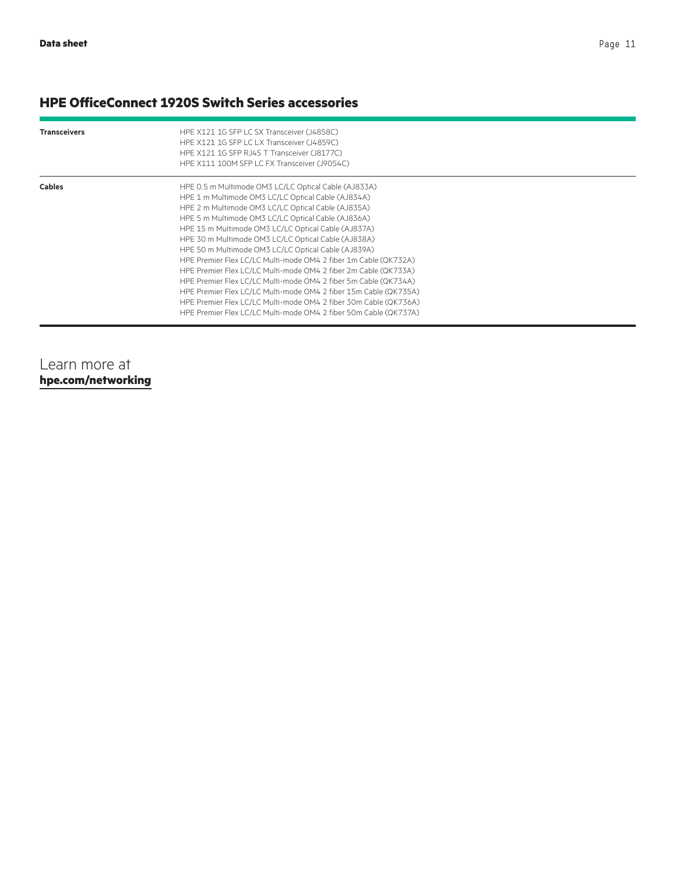## **HPE OfficeConnect 1920S Switch Series accessories**

| <b>Transceivers</b> | HPE X121 1G SFP LC SX Transceiver (J4858C)<br>HPE X121 1G SFP LC LX Transceiver (J4859C)<br>HPE X121 1G SFP RJ45 T Transceiver (J8177C)<br>HPE X111 100M SFP LC FX Transceiver (J9054C)                                                                                                                                                                                                                                                                                                                                                                                                                                                                                                                                                                                                                          |
|---------------------|------------------------------------------------------------------------------------------------------------------------------------------------------------------------------------------------------------------------------------------------------------------------------------------------------------------------------------------------------------------------------------------------------------------------------------------------------------------------------------------------------------------------------------------------------------------------------------------------------------------------------------------------------------------------------------------------------------------------------------------------------------------------------------------------------------------|
| <b>Cables</b>       | HPE 0.5 m Multimode OM3 LC/LC Optical Cable (AJ833A)<br>HPE 1 m Multimode OM3 LC/LC Optical Cable (AJ834A)<br>HPE 2 m Multimode OM3 LC/LC Optical Cable (AJ835A)<br>HPE 5 m Multimode OM3 LC/LC Optical Cable (AJ836A)<br>HPE 15 m Multimode OM3 LC/LC Optical Cable (AJ837A)<br>HPE 30 m Multimode OM3 LC/LC Optical Cable (AJ838A)<br>HPE 50 m Multimode OM3 LC/LC Optical Cable (AJ839A)<br>HPE Premier Flex LC/LC Multi-mode OM4 2 fiber 1m Cable (QK732A)<br>HPE Premier Flex LC/LC Multi-mode OM4 2 fiber 2m Cable (QK733A)<br>HPE Premier Flex LC/LC Multi-mode OM4 2 fiber 5m Cable (QK734A)<br>HPE Premier Flex LC/LC Multi-mode OM4 2 fiber 15m Cable (QK735A)<br>HPE Premier Flex LC/LC Multi-mode OM4 2 fiber 30m Cable (QK736A)<br>HPE Premier Flex LC/LC Multi-mode OM4 2 fiber 50m Cable (QK737A) |

### Learn more at **[hpe.com/networking](http://hpe.com/networking)**